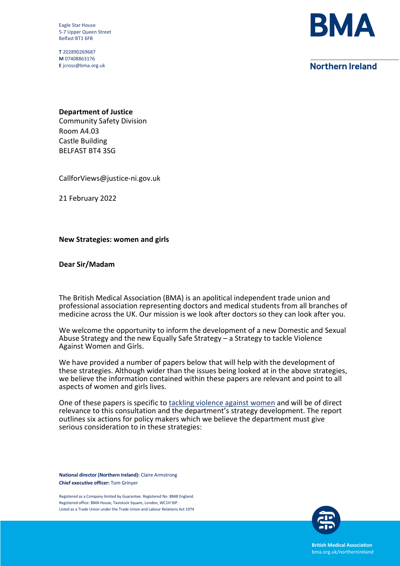Eagle Star House 5-7 Upper Queen Street Belfast BT1 6FB

T 202890269687 M 07408863176 E jcross@bma.org.uk



# **Northern Ireland**

## Department of Justice

Community Safety Division Room A4.03 Castle Building BELFAST BT4 3SG

CallforViews@justice-ni.gov.uk

21 February 2022

### New Strategies: women and girls

### Dear Sir/Madam

The British Medical Association (BMA) is an apolitical independent trade union and professional association representing doctors and medical students from all branches of medicine across the UK. Our mission is we look after doctors so they can look after you.

We welcome the opportunity to inform the development of a new Domestic and Sexual Abuse Strategy and the new Equally Safe Strategy – a Strategy to tackle Violence Against Women and Girls.

We have provided a number of papers below that will help with the development of these strategies. Although wider than the issues being looked at in the above strategies, we believe the information contained within these papers are relevant and point to all aspects of women and girls lives.

One of these papers is specific to tackling violence against women and will be of direct relevance to this consultation and the department's strategy development. The report outlines six actions for policy makers which we believe the department must give serious consideration to in these strategies:

National director (Northern Ireland): Claire Armstrong Chief executive officer: Tom Grinyer

Registered as a Company limited by Guarantee. Registered No. 8848 England. Registered office: BMA House, Tavistock Square, London, WC1H 9JP. Listed as a Trade Union under the Trade Union and Labour Relations Act 1974



British Medical Association bma.org.uk/northernireland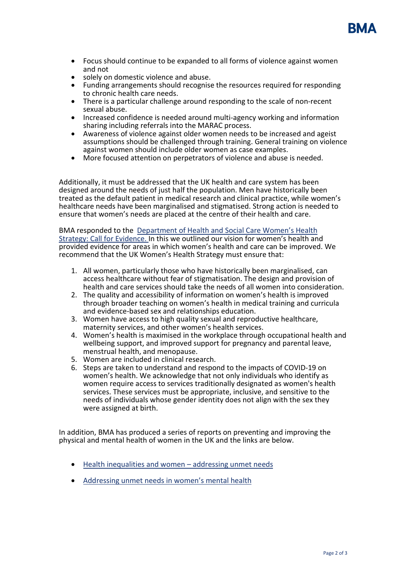

- Focus should continue to be expanded to all forms of violence against women and not
- solely on domestic violence and abuse.
- Funding arrangements should recognise the resources required for responding to chronic health care needs.
- There is a particular challenge around responding to the scale of non-recent sexual abuse.
- Increased confidence is needed around multi-agency working and information sharing including referrals into the MARAC process.
- Awareness of violence against older women needs to be increased and ageist assumptions should be challenged through training. General training on violence against women should include older women as case examples.
- More focused attention on perpetrators of violence and abuse is needed.

Additionally, it must be addressed that the UK health and care system has been designed around the needs of just half the population. Men have historically been treated as the default patient in medical research and clinical practice, while women's healthcare needs have been marginalised and stigmatised. Strong action is needed to ensure that women's needs are placed at the centre of their health and care.

#### BMA responded to the Department of Health and Social Care Women's Health Strategy: Call for Evidence. In this we outlined our vision for women's health and provided evidence for areas in which women's health and care can be improved. We recommend that the UK Women's Health Strategy must ensure that:

- 1. All women, particularly those who have historically been marginalised, can access healthcare without fear of stigmatisation. The design and provision of health and care services should take the needs of all women into consideration.
- 2. The quality and accessibility of information on women's health is improved through broader teaching on women's health in medical training and curricula and evidence-based sex and relationships education.
- 3. Women have access to high quality sexual and reproductive healthcare, maternity services, and other women's health services.
- 4. Women's health is maximised in the workplace through occupational health and wellbeing support, and improved support for pregnancy and parental leave, menstrual health, and menopause.
- 5. Women are included in clinical research.
- 6. Steps are taken to understand and respond to the impacts of COVID-19 on women's health. We acknowledge that not only individuals who identify as women require access to services traditionally designated as women's health services. These services must be appropriate, inclusive, and sensitive to the needs of individuals whose gender identity does not align with the sex they were assigned at birth.

In addition, BMA has produced a series of reports on preventing and improving the physical and mental health of women in the UK and the links are below.

- Health inequalities and women addressing unmet needs
- Addressing unmet needs in women's mental health